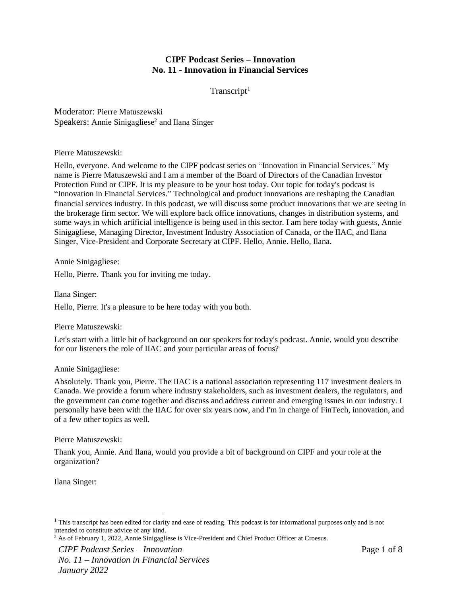# **CIPF Podcast Series – Innovation No. 11 - Innovation in Financial Services**

 $Transcript<sup>1</sup>$ 

Moderator: Pierre Matuszewski Speakers: Annie Sinigagliese<sup>2</sup> and Ilana Singer

Pierre Matuszewski:

Hello, everyone. And welcome to the CIPF podcast series on "Innovation in Financial Services." My name is Pierre Matuszewski and I am a member of the Board of Directors of the Canadian Investor Protection Fund or CIPF. It is my pleasure to be your host today. Our topic for today's podcast is "Innovation in Financial Services." Technological and product innovations are reshaping the Canadian financial services industry. In this podcast, we will discuss some product innovations that we are seeing in the brokerage firm sector. We will explore back office innovations, changes in distribution systems, and some ways in which artificial intelligence is being used in this sector. I am here today with guests, Annie Sinigagliese, Managing Director, Investment Industry Association of Canada, or the IIAC, and Ilana Singer, Vice-President and Corporate Secretary at CIPF. Hello, Annie. Hello, Ilana.

Annie Sinigagliese:

Hello, Pierre. Thank you for inviting me today.

Ilana Singer: Hello, Pierre. It's a pleasure to be here today with you both.

Pierre Matuszewski:

Let's start with a little bit of background on our speakers for today's podcast. Annie, would you describe for our listeners the role of IIAC and your particular areas of focus?

# Annie Sinigagliese:

Absolutely. Thank you, Pierre. The IIAC is a national association representing 117 investment dealers in Canada. We provide a forum where industry stakeholders, such as investment dealers, the regulators, and the government can come together and discuss and address current and emerging issues in our industry. I personally have been with the IIAC for over six years now, and I'm in charge of FinTech, innovation, and of a few other topics as well.

# Pierre Matuszewski:

Thank you, Annie. And Ilana, would you provide a bit of background on CIPF and your role at the organization?

Ilana Singer:

<sup>&</sup>lt;sup>1</sup> This transcript has been edited for clarity and ease of reading. This podcast is for informational purposes only and is not intended to constitute advice of any kind.

<sup>2</sup> As of February 1, 2022, Annie Sinigagliese is Vice-President and Chief Product Officer at Croesus.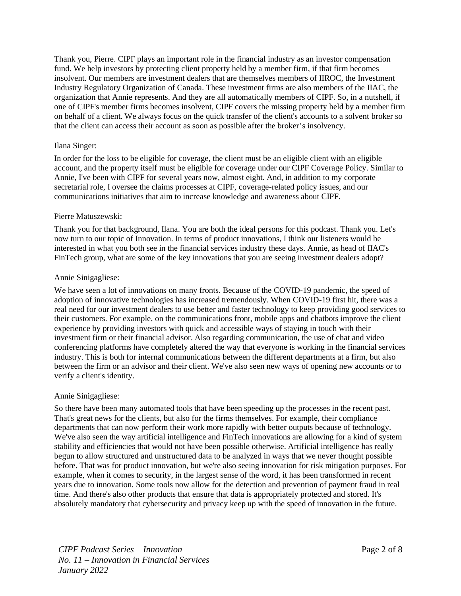Thank you, Pierre. CIPF plays an important role in the financial industry as an investor compensation fund. We help investors by protecting client property held by a member firm, if that firm becomes insolvent. Our members are investment dealers that are themselves members of IIROC, the Investment Industry Regulatory Organization of Canada. These investment firms are also members of the IIAC, the organization that Annie represents. And they are all automatically members of CIPF. So, in a nutshell, if one of CIPF's member firms becomes insolvent, CIPF covers the missing property held by a member firm on behalf of a client. We always focus on the quick transfer of the client's accounts to a solvent broker so that the client can access their account as soon as possible after the broker's insolvency.

### Ilana Singer:

In order for the loss to be eligible for coverage, the client must be an eligible client with an eligible account, and the property itself must be eligible for coverage under our CIPF Coverage Policy. Similar to Annie, I've been with CIPF for several years now, almost eight. And, in addition to my corporate secretarial role, I oversee the claims processes at CIPF, coverage-related policy issues, and our communications initiatives that aim to increase knowledge and awareness about CIPF.

### Pierre Matuszewski:

Thank you for that background, Ilana. You are both the ideal persons for this podcast. Thank you. Let's now turn to our topic of Innovation. In terms of product innovations, I think our listeners would be interested in what you both see in the financial services industry these days. Annie, as head of IIAC's FinTech group, what are some of the key innovations that you are seeing investment dealers adopt?

# Annie Sinigagliese:

We have seen a lot of innovations on many fronts. Because of the COVID-19 pandemic, the speed of adoption of innovative technologies has increased tremendously. When COVID-19 first hit, there was a real need for our investment dealers to use better and faster technology to keep providing good services to their customers. For example, on the communications front, mobile apps and chatbots improve the client experience by providing investors with quick and accessible ways of staying in touch with their investment firm or their financial advisor. Also regarding communication, the use of chat and video conferencing platforms have completely altered the way that everyone is working in the financial services industry. This is both for internal communications between the different departments at a firm, but also between the firm or an advisor and their client. We've also seen new ways of opening new accounts or to verify a client's identity.

# Annie Sinigagliese:

So there have been many automated tools that have been speeding up the processes in the recent past. That's great news for the clients, but also for the firms themselves. For example, their compliance departments that can now perform their work more rapidly with better outputs because of technology. We've also seen the way artificial intelligence and FinTech innovations are allowing for a kind of system stability and efficiencies that would not have been possible otherwise. Artificial intelligence has really begun to allow structured and unstructured data to be analyzed in ways that we never thought possible before. That was for product innovation, but we're also seeing innovation for risk mitigation purposes. For example, when it comes to security, in the largest sense of the word, it has been transformed in recent years due to innovation. Some tools now allow for the detection and prevention of payment fraud in real time. And there's also other products that ensure that data is appropriately protected and stored. It's absolutely mandatory that cybersecurity and privacy keep up with the speed of innovation in the future.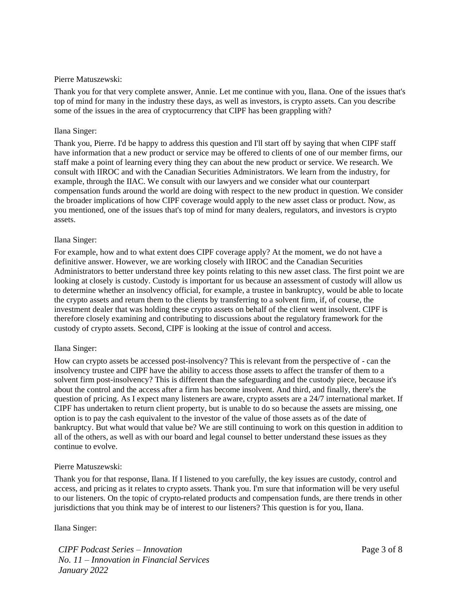### Pierre Matuszewski:

Thank you for that very complete answer, Annie. Let me continue with you, Ilana. One of the issues that's top of mind for many in the industry these days, as well as investors, is crypto assets. Can you describe some of the issues in the area of cryptocurrency that CIPF has been grappling with?

### Ilana Singer:

Thank you, Pierre. I'd be happy to address this question and I'll start off by saying that when CIPF staff have information that a new product or service may be offered to clients of one of our member firms, our staff make a point of learning every thing they can about the new product or service. We research. We consult with IIROC and with the Canadian Securities Administrators. We learn from the industry, for example, through the IIAC. We consult with our lawyers and we consider what our counterpart compensation funds around the world are doing with respect to the new product in question. We consider the broader implications of how CIPF coverage would apply to the new asset class or product. Now, as you mentioned, one of the issues that's top of mind for many dealers, regulators, and investors is crypto assets.

#### Ilana Singer:

For example, how and to what extent does CIPF coverage apply? At the moment, we do not have a definitive answer. However, we are working closely with IIROC and the Canadian Securities Administrators to better understand three key points relating to this new asset class. The first point we are looking at closely is custody. Custody is important for us because an assessment of custody will allow us to determine whether an insolvency official, for example, a trustee in bankruptcy, would be able to locate the crypto assets and return them to the clients by transferring to a solvent firm, if, of course, the investment dealer that was holding these crypto assets on behalf of the client went insolvent. CIPF is therefore closely examining and contributing to discussions about the regulatory framework for the custody of crypto assets. Second, CIPF is looking at the issue of control and access.

#### Ilana Singer:

How can crypto assets be accessed post-insolvency? This is relevant from the perspective of - can the insolvency trustee and CIPF have the ability to access those assets to affect the transfer of them to a solvent firm post-insolvency? This is different than the safeguarding and the custody piece, because it's about the control and the access after a firm has become insolvent. And third, and finally, there's the question of pricing. As I expect many listeners are aware, crypto assets are a 24/7 international market. If CIPF has undertaken to return client property, but is unable to do so because the assets are missing, one option is to pay the cash equivalent to the investor of the value of those assets as of the date of bankruptcy. But what would that value be? We are still continuing to work on this question in addition to all of the others, as well as with our board and legal counsel to better understand these issues as they continue to evolve.

#### Pierre Matuszewski:

Thank you for that response, Ilana. If I listened to you carefully, the key issues are custody, control and access, and pricing as it relates to crypto assets. Thank you. I'm sure that information will be very useful to our listeners. On the topic of crypto-related products and compensation funds, are there trends in other jurisdictions that you think may be of interest to our listeners? This question is for you, Ilana.

Ilana Singer: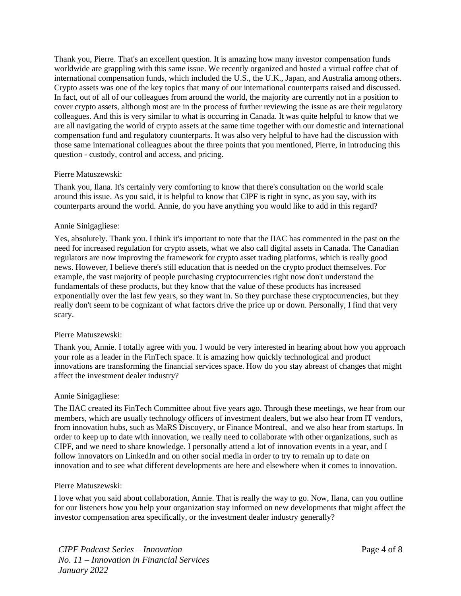Thank you, Pierre. That's an excellent question. It is amazing how many investor compensation funds worldwide are grappling with this same issue. We recently organized and hosted a virtual coffee chat of international compensation funds, which included the U.S., the U.K., Japan, and Australia among others. Crypto assets was one of the key topics that many of our international counterparts raised and discussed. In fact, out of all of our colleagues from around the world, the majority are currently not in a position to cover crypto assets, although most are in the process of further reviewing the issue as are their regulatory colleagues. And this is very similar to what is occurring in Canada. It was quite helpful to know that we are all navigating the world of crypto assets at the same time together with our domestic and international compensation fund and regulatory counterparts. It was also very helpful to have had the discussion with those same international colleagues about the three points that you mentioned, Pierre, in introducing this question - custody, control and access, and pricing.

### Pierre Matuszewski:

Thank you, Ilana. It's certainly very comforting to know that there's consultation on the world scale around this issue. As you said, it is helpful to know that CIPF is right in sync, as you say, with its counterparts around the world. Annie, do you have anything you would like to add in this regard?

### Annie Sinigagliese:

Yes, absolutely. Thank you. I think it's important to note that the IIAC has commented in the past on the need for increased regulation for crypto assets, what we also call digital assets in Canada. The Canadian regulators are now improving the framework for crypto asset trading platforms, which is really good news. However, I believe there's still education that is needed on the crypto product themselves. For example, the vast majority of people purchasing cryptocurrencies right now don't understand the fundamentals of these products, but they know that the value of these products has increased exponentially over the last few years, so they want in. So they purchase these cryptocurrencies, but they really don't seem to be cognizant of what factors drive the price up or down. Personally, I find that very scary.

#### Pierre Matuszewski:

Thank you, Annie. I totally agree with you. I would be very interested in hearing about how you approach your role as a leader in the FinTech space. It is amazing how quickly technological and product innovations are transforming the financial services space. How do you stay abreast of changes that might affect the investment dealer industry?

#### Annie Sinigagliese:

The IIAC created its FinTech Committee about five years ago. Through these meetings, we hear from our members, which are usually technology officers of investment dealers, but we also hear from IT vendors, from innovation hubs, such as MaRS Discovery, or Finance Montreal, and we also hear from startups. In order to keep up to date with innovation, we really need to collaborate with other organizations, such as CIPF, and we need to share knowledge. I personally attend a lot of innovation events in a year, and I follow innovators on LinkedIn and on other social media in order to try to remain up to date on innovation and to see what different developments are here and elsewhere when it comes to innovation.

#### Pierre Matuszewski:

I love what you said about collaboration, Annie. That is really the way to go. Now, Ilana, can you outline for our listeners how you help your organization stay informed on new developments that might affect the investor compensation area specifically, or the investment dealer industry generally?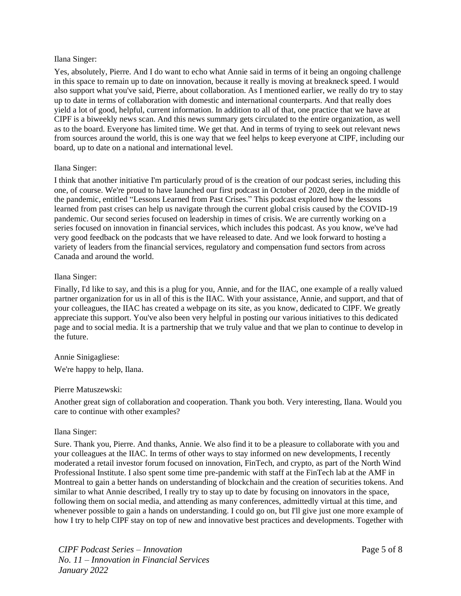#### Ilana Singer:

Yes, absolutely, Pierre. And I do want to echo what Annie said in terms of it being an ongoing challenge in this space to remain up to date on innovation, because it really is moving at breakneck speed. I would also support what you've said, Pierre, about collaboration. As I mentioned earlier, we really do try to stay up to date in terms of collaboration with domestic and international counterparts. And that really does yield a lot of good, helpful, current information. In addition to all of that, one practice that we have at CIPF is a biweekly news scan. And this news summary gets circulated to the entire organization, as well as to the board. Everyone has limited time. We get that. And in terms of trying to seek out relevant news from sources around the world, this is one way that we feel helps to keep everyone at CIPF, including our board, up to date on a national and international level.

# Ilana Singer:

I think that another initiative I'm particularly proud of is the creation of our podcast series, including this one, of course. We're proud to have launched our first podcast in October of 2020, deep in the middle of the pandemic, entitled "Lessons Learned from Past Crises." This podcast explored how the lessons learned from past crises can help us navigate through the current global crisis caused by the COVID-19 pandemic. Our second series focused on leadership in times of crisis. We are currently working on a series focused on innovation in financial services, which includes this podcast. As you know, we've had very good feedback on the podcasts that we have released to date. And we look forward to hosting a variety of leaders from the financial services, regulatory and compensation fund sectors from across Canada and around the world.

### Ilana Singer:

Finally, I'd like to say, and this is a plug for you, Annie, and for the IIAC, one example of a really valued partner organization for us in all of this is the IIAC. With your assistance, Annie, and support, and that of your colleagues, the IIAC has created a webpage on its site, as you know, dedicated to CIPF. We greatly appreciate this support. You've also been very helpful in posting our various initiatives to this dedicated page and to social media. It is a partnership that we truly value and that we plan to continue to develop in the future.

# Annie Sinigagliese:

We're happy to help, Ilana.

# Pierre Matuszewski:

Another great sign of collaboration and cooperation. Thank you both. Very interesting, Ilana. Would you care to continue with other examples?

#### Ilana Singer:

Sure. Thank you, Pierre. And thanks, Annie. We also find it to be a pleasure to collaborate with you and your colleagues at the IIAC. In terms of other ways to stay informed on new developments, I recently moderated a retail investor forum focused on innovation, FinTech, and crypto, as part of the North Wind Professional Institute. I also spent some time pre-pandemic with staff at the FinTech lab at the AMF in Montreal to gain a better hands on understanding of blockchain and the creation of securities tokens. And similar to what Annie described, I really try to stay up to date by focusing on innovators in the space, following them on social media, and attending as many conferences, admittedly virtual at this time, and whenever possible to gain a hands on understanding. I could go on, but I'll give just one more example of how I try to help CIPF stay on top of new and innovative best practices and developments. Together with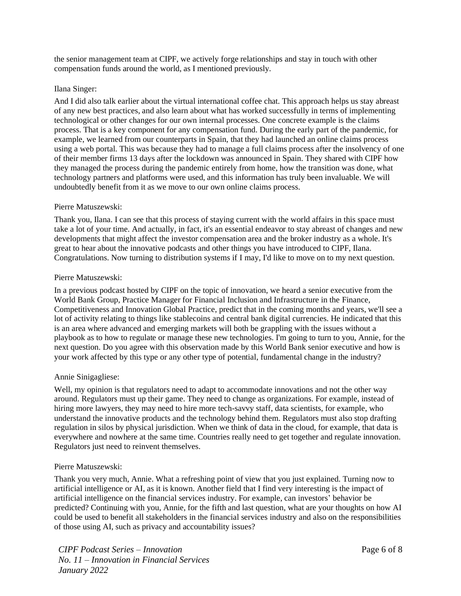the senior management team at CIPF, we actively forge relationships and stay in touch with other compensation funds around the world, as I mentioned previously.

### Ilana Singer:

And I did also talk earlier about the virtual international coffee chat. This approach helps us stay abreast of any new best practices, and also learn about what has worked successfully in terms of implementing technological or other changes for our own internal processes. One concrete example is the claims process. That is a key component for any compensation fund. During the early part of the pandemic, for example, we learned from our counterparts in Spain, that they had launched an online claims process using a web portal. This was because they had to manage a full claims process after the insolvency of one of their member firms 13 days after the lockdown was announced in Spain. They shared with CIPF how they managed the process during the pandemic entirely from home, how the transition was done, what technology partners and platforms were used, and this information has truly been invaluable. We will undoubtedly benefit from it as we move to our own online claims process.

### Pierre Matuszewski:

Thank you, Ilana. I can see that this process of staying current with the world affairs in this space must take a lot of your time. And actually, in fact, it's an essential endeavor to stay abreast of changes and new developments that might affect the investor compensation area and the broker industry as a whole. It's great to hear about the innovative podcasts and other things you have introduced to CIPF, Ilana. Congratulations. Now turning to distribution systems if I may, I'd like to move on to my next question.

### Pierre Matuszewski:

In a previous podcast hosted by CIPF on the topic of innovation, we heard a senior executive from the World Bank Group, Practice Manager for Financial Inclusion and Infrastructure in the Finance, Competitiveness and Innovation Global Practice, predict that in the coming months and years, we'll see a lot of activity relating to things like stablecoins and central bank digital currencies. He indicated that this is an area where advanced and emerging markets will both be grappling with the issues without a playbook as to how to regulate or manage these new technologies. I'm going to turn to you, Annie, for the next question. Do you agree with this observation made by this World Bank senior executive and how is your work affected by this type or any other type of potential, fundamental change in the industry?

# Annie Sinigagliese:

Well, my opinion is that regulators need to adapt to accommodate innovations and not the other way around. Regulators must up their game. They need to change as organizations. For example, instead of hiring more lawyers, they may need to hire more tech-savvy staff, data scientists, for example, who understand the innovative products and the technology behind them. Regulators must also stop drafting regulation in silos by physical jurisdiction. When we think of data in the cloud, for example, that data is everywhere and nowhere at the same time. Countries really need to get together and regulate innovation. Regulators just need to reinvent themselves.

#### Pierre Matuszewski:

Thank you very much, Annie. What a refreshing point of view that you just explained. Turning now to artificial intelligence or AI, as it is known. Another field that I find very interesting is the impact of artificial intelligence on the financial services industry. For example, can investors' behavior be predicted? Continuing with you, Annie, for the fifth and last question, what are your thoughts on how AI could be used to benefit all stakeholders in the financial services industry and also on the responsibilities of those using AI, such as privacy and accountability issues?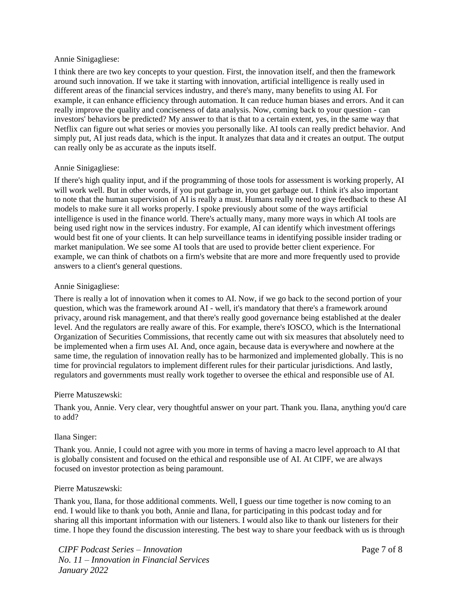### Annie Sinigagliese:

I think there are two key concepts to your question. First, the innovation itself, and then the framework around such innovation. If we take it starting with innovation, artificial intelligence is really used in different areas of the financial services industry, and there's many, many benefits to using AI. For example, it can enhance efficiency through automation. It can reduce human biases and errors. And it can really improve the quality and conciseness of data analysis. Now, coming back to your question - can investors' behaviors be predicted? My answer to that is that to a certain extent, yes, in the same way that Netflix can figure out what series or movies you personally like. AI tools can really predict behavior. And simply put, AI just reads data, which is the input. It analyzes that data and it creates an output. The output can really only be as accurate as the inputs itself.

# Annie Sinigagliese:

If there's high quality input, and if the programming of those tools for assessment is working properly, AI will work well. But in other words, if you put garbage in, you get garbage out. I think it's also important to note that the human supervision of AI is really a must. Humans really need to give feedback to these AI models to make sure it all works properly. I spoke previously about some of the ways artificial intelligence is used in the finance world. There's actually many, many more ways in which AI tools are being used right now in the services industry. For example, AI can identify which investment offerings would best fit one of your clients. It can help surveillance teams in identifying possible insider trading or market manipulation. We see some AI tools that are used to provide better client experience. For example, we can think of chatbots on a firm's website that are more and more frequently used to provide answers to a client's general questions.

# Annie Sinigagliese:

There is really a lot of innovation when it comes to AI. Now, if we go back to the second portion of your question, which was the framework around AI - well, it's mandatory that there's a framework around privacy, around risk management, and that there's really good governance being established at the dealer level. And the regulators are really aware of this. For example, there's IOSCO, which is the International Organization of Securities Commissions, that recently came out with six measures that absolutely need to be implemented when a firm uses AI. And, once again, because data is everywhere and nowhere at the same time, the regulation of innovation really has to be harmonized and implemented globally. This is no time for provincial regulators to implement different rules for their particular jurisdictions. And lastly, regulators and governments must really work together to oversee the ethical and responsible use of AI.

# Pierre Matuszewski:

Thank you, Annie. Very clear, very thoughtful answer on your part. Thank you. Ilana, anything you'd care to add?

# Ilana Singer:

Thank you. Annie, I could not agree with you more in terms of having a macro level approach to AI that is globally consistent and focused on the ethical and responsible use of AI. At CIPF, we are always focused on investor protection as being paramount.

# Pierre Matuszewski:

Thank you, Ilana, for those additional comments. Well, I guess our time together is now coming to an end. I would like to thank you both, Annie and Ilana, for participating in this podcast today and for sharing all this important information with our listeners. I would also like to thank our listeners for their time. I hope they found the discussion interesting. The best way to share your feedback with us is through